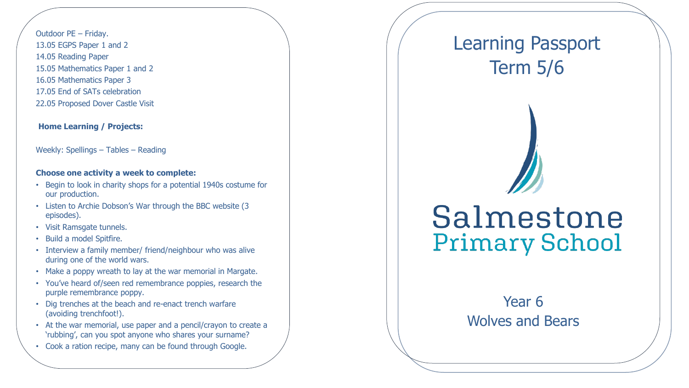Outdoor PE – Friday. 13.05 EGPS Paper 1 and 2 14.05 Reading Paper 15.05 Mathematics Paper 1 and 2 16.05 Mathematics Paper 3 17.05 End of SATs celebration 22.05 Proposed Dover Castle Visit

#### **Home Learning / Projects:**

Weekly: Spellings – Tables – Reading

### **Choose one activity a week to complete:**

- Begin to look in charity shops for a potential 1940s costume for our production .
- Listen to Archie Dobson's War through the BBC website (3 episodes).
- Visit Ramsgate tunnels.
- Build a model Spitfire.
- Interview a family member/ friend/neighbour who was alive during one of the world wars.
- Make a poppy wreath to lay at the war memorial in Margate.
- You've heard of/seen red remembrance poppies, research the purple remembrance poppy.
- Dig trenches at the beach and re -enact trench warfare (avoiding trenchfoot!).
- At the war memorial, use paper and a pencil/crayon to create a 'rubbing', can you spot anyone who shares your surname?
- Cook a ration recipe, many can be found through Google.

## Learning Passport Term 5/6

# Salmestone **Primary School**

### Year 6 Wolves and Bears